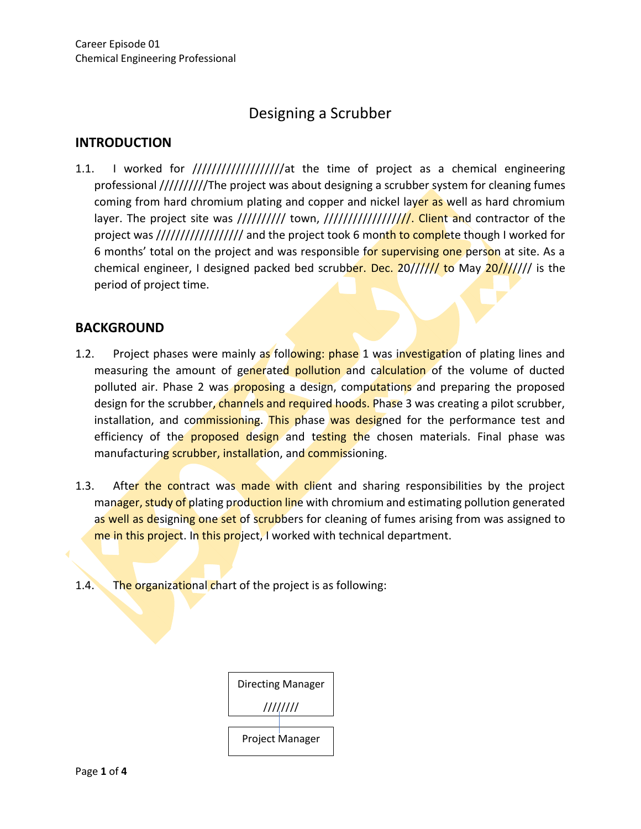# Designing a Scrubber

## **INTRODUCTION**

1.1. I worked for ///////////////////at the time of project as a chemical engineering professional //////////The project was about designing a scrubber system for cleaning fumes coming from hard chromium plating and copper and nickel layer as well as hard chromium layer. The project site was /////////// town, ///////////////////. Client and contractor of the project was ///////////////////// and the project took 6 month to complete though I worked for 6 months' total on the project and was responsible for supervising one person at site. As a chemical engineer, I designed packed bed scrubber. Dec. 20////// to May 20/////// is the period of project time.

#### **BACKGROUND**

- 1.2. Project phases were mainly as following: phase 1 was investigation of plating lines and measuring the amount of generated pollution and calculation of the volume of ducted polluted air. Phase 2 was proposing a design, computations and preparing the proposed design for the scrubber, channels and required hoods. Phase 3 was creating a pilot scrubber, installation, and commissioning. This phase was designed for the performance test and efficiency of the **proposed design** and testing the chosen materials. Final phase was manufacturing scrubber, installation, and commissioning.
- 1.3. After the contract was made with client and sharing responsibilities by the project manager, study of plating production line with chromium and estimating pollution generated as well as designing one set of scrubbers for cleaning of fumes arising from was assigned to me in this project. In this project, I worked with technical department.
- 1.4. The organizational chart of the project is as following:

| Directing Manager |  |
|-------------------|--|
| ////////          |  |
| Project Manager   |  |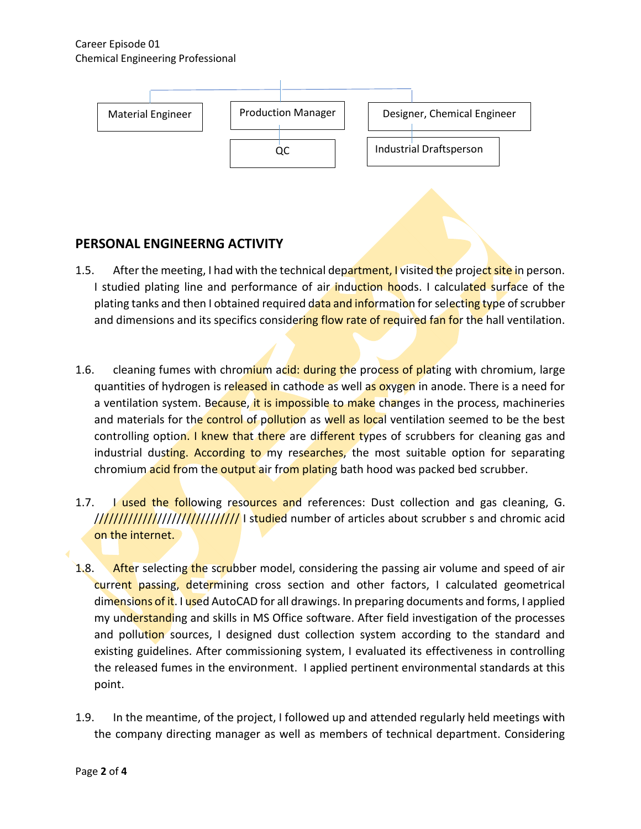#### Career Episode 01 Chemical Engineering Professional



### **PERSONAL ENGINEERNG ACTIVITY**

- 1.5. After the meeting, I had with the technical department, I visited the project site in person. I studied plating line and performance of air induction hoods. I calculated surface of the plating tanks and then I obtained required data and information for selecting type of scrubber and dimensions and its specifics considering flow rate of required fan for the hall ventilation.
- 1.6. cleaning fumes with chromium acid: during the process of plating with chromium, large quantities of hydrogen is released in cathode as well as oxygen in anode. There is a need for a ventilation system. Because, it is impossible to make changes in the process, machineries and materials for the control of pollution as well as local ventilation seemed to be the best controlling option. I knew that there are different types of scrubbers for cleaning gas and industrial dusting. According to my researches, the most suitable option for separating chromium acid from the output air from plating bath hood was packed bed scrubber.
- 1.7. I used the following resources and references: Dust collection and gas cleaning, G. //////////////////////////////////// I studied number of articles about scrubber s and chromic acid on the internet.
- 1.8. After selecting the scrubber model, considering the passing air volume and speed of air current passing, determining cross section and other factors, I calculated geometrical dimensions of it. I used AutoCAD for all drawings. In preparing documents and forms, I applied my understanding and skills in MS Office software. After field investigation of the processes and pollution sources, I designed dust collection system according to the standard and existing guidelines. After commissioning system, I evaluated its effectiveness in controlling the released fumes in the environment. I applied pertinent environmental standards at this point.
- 1.9. In the meantime, of the project, I followed up and attended regularly held meetings with the company directing manager as well as members of technical department. Considering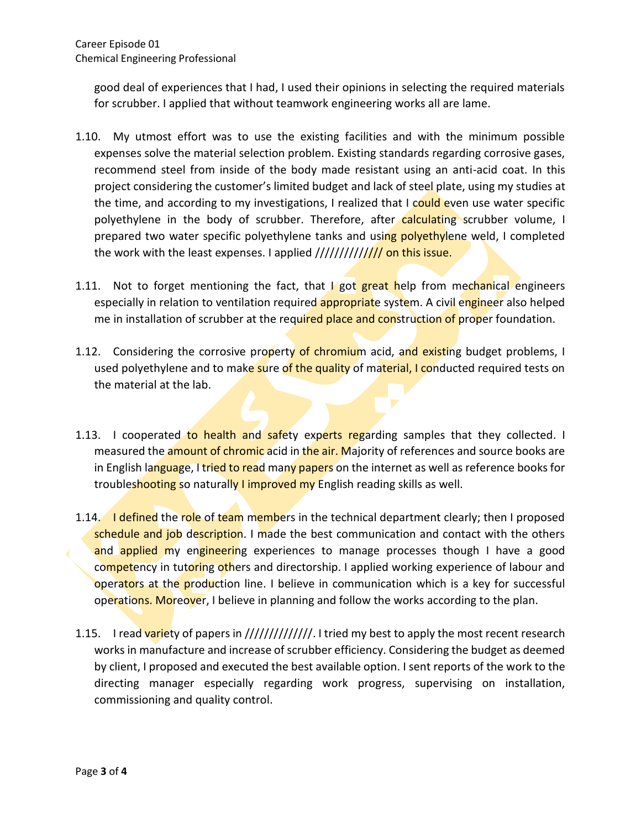good deal of experiences that I had, I used their opinions in selecting the required materials for scrubber. I applied that without teamwork engineering works all are lame.

- 1.10. My utmost effort was to use the existing facilities and with the minimum possible expenses solve the material selection problem. Existing standards regarding corrosive gases, recommend steel from inside of the body made resistant using an anti-acid coat. In this project considering the customer's limited budget and lack of steel plate, using my studies at the time, and according to my investigations, I realized that I could even use water specific polyethylene in the body of scrubber. Therefore, after calculating scrubber volume, I prepared two water specific polyethylene tanks and using polyethylene weld, I completed the work with the least expenses. I applied //////////////// on this issue.
- 1.11. Not to forget mentioning the fact, that I got great help from mechanical engineers especially in relation to ventilation required **appropriat**e system. A civil engineer also helped me in installation of scrubber at the required place and construction of proper foundation.
- 1.12. Considering the corrosive property of chromium acid, and existing budget problems, I used polyethylene and to make sure of the quality of material, I conducted required tests on the material at the lab.
- 1.13. I cooperated to health and safety experts regarding samples that they collected. I measured the amount of chromic acid in the air. Majority of references and source books are in English language, I tried to read many papers on the internet as well as reference books for troubleshooting so naturally I improved my English reading skills as well.
- 1.14. I defined the role of team members in the technical department clearly; then I proposed schedule and job description. I made the best communication and contact with the others and applied my engineering experiences to manage processes though I have a good competency in tutoring others and directorship. I applied working experience of labour and operators at the production line. I believe in communication which is a key for successful operations. Moreover, I believe in planning and follow the works according to the plan.
- 1.15. I read variety of papers in ////////////////. I tried my best to apply the most recent research works in manufacture and increase of scrubber efficiency. Considering the budget as deemed by client, I proposed and executed the best available option. I sent reports of the work to the directing manager especially regarding work progress, supervising on installation, commissioning and quality control.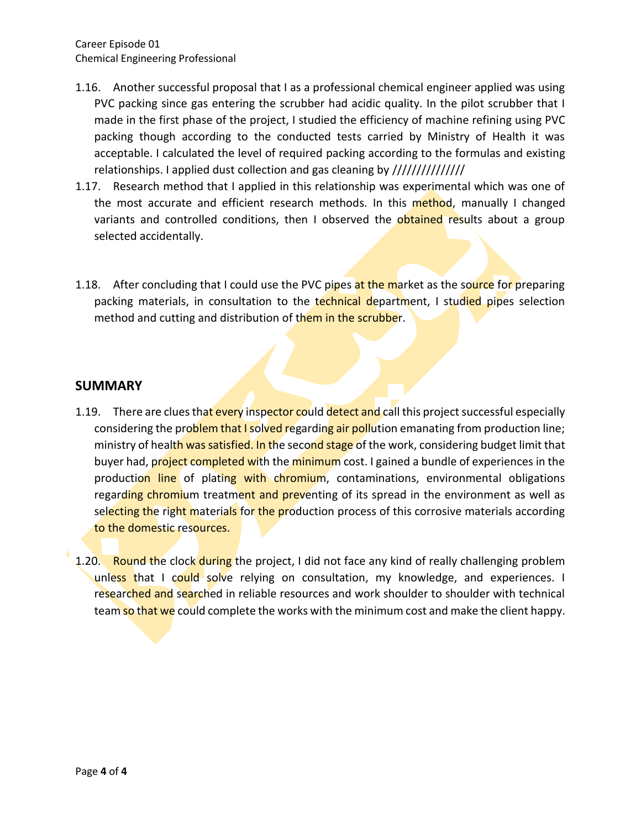- 1.16. Another successful proposal that I as a professional chemical engineer applied was using PVC packing since gas entering the scrubber had acidic quality. In the pilot scrubber that I made in the first phase of the project, I studied the efficiency of machine refining using PVC packing though according to the conducted tests carried by Ministry of Health it was acceptable. I calculated the level of required packing according to the formulas and existing relationships. I applied dust collection and gas cleaning by ///////////////////
- 1.17. Research method that I applied in this relationship was experimental which was one of the most accurate and efficient research methods. In this method, manually I changed variants and controlled conditions, then I observed the obtained results about a group selected accidentally.
- 1.18. After concluding that I could use the PVC pipes at the market as the source for preparing packing materials, in consultation to the technical department, I studied pipes selection method and cutting and distribution of them in the scrubber.

#### **SUMMARY**

- 1.19. There are clues that every inspector could detect and call this project successful especially considering the problem that I solved regarding air pollution emanating from production line; ministry of health was satisfied. In the second stage of the work, considering budget limit that buyer had, project completed with the minimum cost. I gained a bundle of experiences in the production line of plating with chromium, contaminations, environmental obligations regarding chromium treatment and preventing of its spread in the environment as well as selecting the right materials for the production process of this corrosive materials according to the domestic resources.
- 1.20. Round the clock during the project, I did not face any kind of really challenging problem unless that I could solve relying on consultation, my knowledge, and experiences. I researched and searched in reliable resources and work shoulder to shoulder with technical team so that we could complete the works with the minimum cost and make the client happy.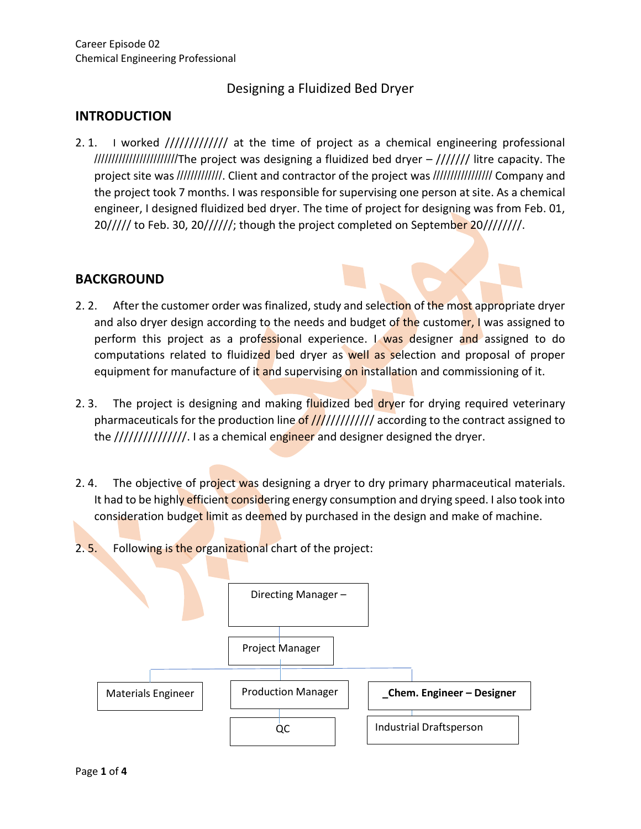## Designing a Fluidized Bed Dryer

#### **INTRODUCTION**

2. 1. I worked /////////////// at the time of project as a chemical engineering professional ////////////////////////The project was designing a fluidized bed dryer – /////// litre capacity. The project site was //////////////. Client and contractor of the project was /////////////////// Company and the project took 7 months. I was responsible for supervising one person at site. As a chemical engineer, I designed fluidized bed dryer. The time of project for designing was from Feb. 01,  $20///$  to Feb. 30, 20//////; though the project completed on September 20////////.

#### **BACKGROUND**

- 2. 2. After the customer order was finalized, study and selection of the most appropriate dryer and also dryer design according to the needs and budget of the customer, I was assigned to perform this project as a professional experience. I was designer and assigned to do computations related to fluidized bed dryer as well as selection and proposal of proper equipment for manufacture of it and supervising on installation and commissioning of it.
- 2. 3. The project is designing and making fluidized bed dryer for drying required veterinary pharmaceuticals for the production line of  $\frac{1}{1}$ /////////// according to the contract assigned to the ////////////////. I as a chemical engineer and designer designed the dryer.
- 2.4. The objective of project was designing a dryer to dry primary pharmaceutical materials. It had to be highly efficient considering energy consumption and drying speed. I also took into consideration budget limit as deemed by purchased in the design and make of machine.
- 2. 5. Following is the organizational chart of the project:

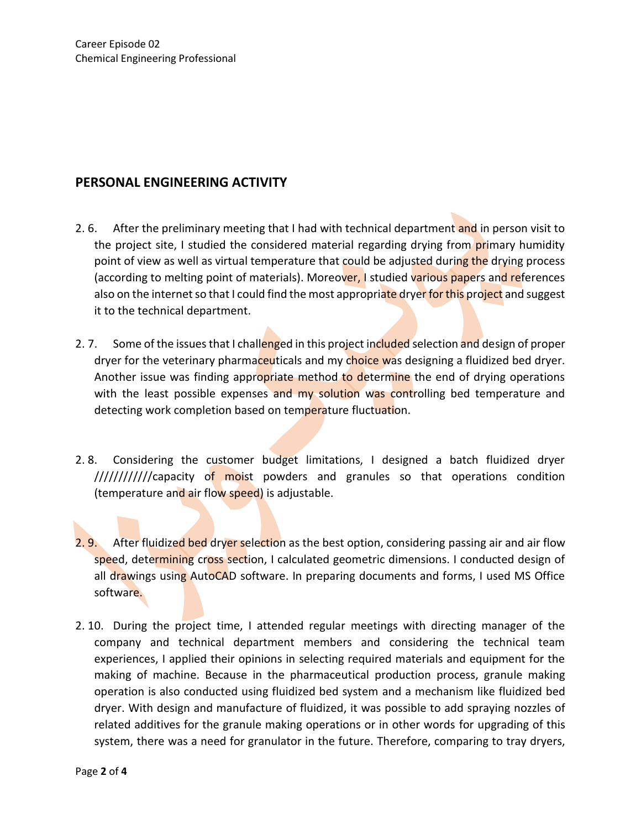### **PERSONAL ENGINEERING ACTIVITY**

- 2. 6. After the preliminary meeting that I had with technical department and in person visit to the project site, I studied the considered material regarding drying from primary humidity point of view as well as virtual temperature that could be adjusted during the drying process (according to melting point of materials). Moreover, I studied various papers and references also on the internet so that I could find the most appropriate dryer for this project and suggest it to the technical department.
- 2. 7. Some of the issues that I challenged in this project included selection and design of proper dryer for the veterinary pharmaceuticals and my choice was designing a fluidized bed dryer. Another issue was finding appropriate method to determine the end of drying operations with the least possible expenses and my solution was controlling bed temperature and detecting work completion based on temperature fluctuation.
- 2. 8. Considering the customer budget limitations, I designed a batch fluidized dryer ////////////capacity of moist powders and granules so that operations condition (temperature and air flow speed) is adjustable.
- 2. 9. After fluidized bed dryer selection as the best option, considering passing air and air flow speed, determining cross section, I calculated geometric dimensions. I conducted design of all drawings using AutoCAD software. In preparing documents and forms, I used MS Office software.
- 2. 10. During the project time, I attended regular meetings with directing manager of the company and technical department members and considering the technical team experiences, I applied their opinions in selecting required materials and equipment for the making of machine. Because in the pharmaceutical production process, granule making operation is also conducted using fluidized bed system and a mechanism like fluidized bed dryer. With design and manufacture of fluidized, it was possible to add spraying nozzles of related additives for the granule making operations or in other words for upgrading of this system, there was a need for granulator in the future. Therefore, comparing to tray dryers,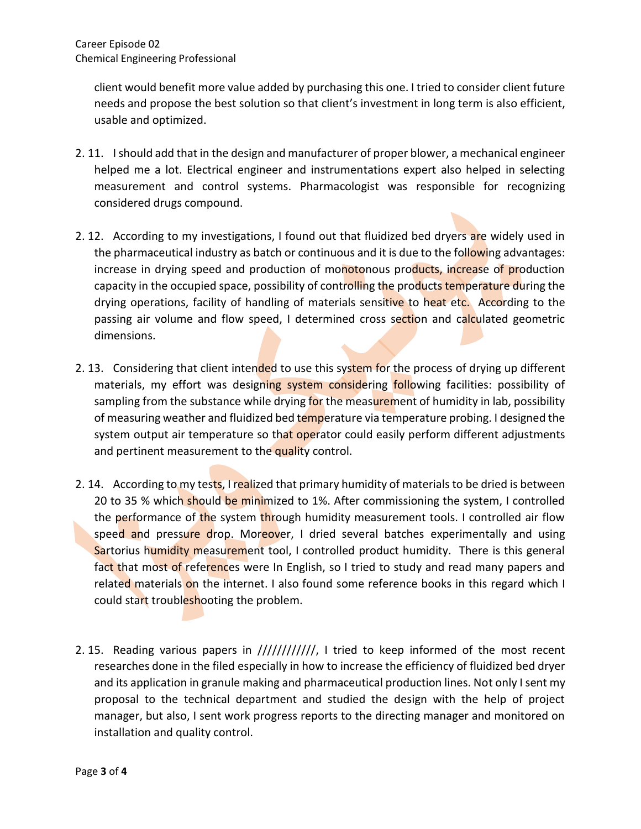client would benefit more value added by purchasing this one. I tried to consider client future needs and propose the best solution so that client's investment in long term is also efficient, usable and optimized.

- 2. 11. I should add that in the design and manufacturer of proper blower, a mechanical engineer helped me a lot. Electrical engineer and instrumentations expert also helped in selecting measurement and control systems. Pharmacologist was responsible for recognizing considered drugs compound.
- 2. 12. According to my investigations, I found out that fluidized bed dryers are widely used in the pharmaceutical industry as batch or continuous and it is due to the following advantages: increase in drying speed and production of monotonous products, increase of production capacity in the occupied space, possibility of controlling the products temperature during the drying operations, facility of handling of materials sensitive to heat etc. According to the passing air volume and flow speed, I determined cross section and calculated geometric dimensions.
- 2. 13. Considering that client intended to use this system for the process of drying up different materials, my effort was designing system considering following facilities: possibility of sampling from the substance while drying for the measurement of humidity in lab, possibility of measuring weather and fluidized bed temperature via temperature probing. I designed the system output air temperature so that operator could easily perform different adjustments and pertinent measurement to the quality control.
- 2. 14. According to my tests, I realized that primary humidity of materials to be dried is between 20 to 35 % which should be minimized to 1%. After commissioning the system, I controlled the performance of the system through humidity measurement tools. I controlled air flow speed and pressure drop. Moreover, I dried several batches experimentally and using Sartorius humidity measurement tool, I controlled product humidity. There is this general fact that most of references were In English, so I tried to study and read many papers and related materials on the internet. I also found some reference books in this regard which I could start troubleshooting the problem.
- 2. 15. Reading various papers in ////////////, I tried to keep informed of the most recent researches done in the filed especially in how to increase the efficiency of fluidized bed dryer and its application in granule making and pharmaceutical production lines. Not only I sent my proposal to the technical department and studied the design with the help of project manager, but also, I sent work progress reports to the directing manager and monitored on installation and quality control.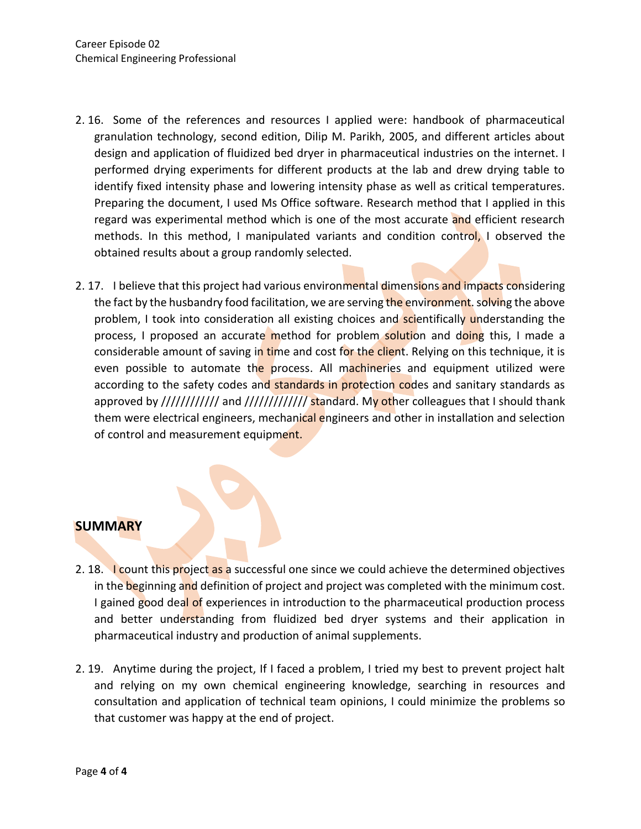- 2. 16. Some of the references and resources I applied were: handbook of pharmaceutical granulation technology, second edition, Dilip M. Parikh, 2005, and different articles about design and application of fluidized bed dryer in pharmaceutical industries on the internet. I performed drying experiments for different products at the lab and drew drying table to identify fixed intensity phase and lowering intensity phase as well as critical temperatures. Preparing the document, I used Ms Office software. Research method that I applied in this regard was experimental method which is one of the most accurate and efficient research methods. In this method, I manipulated variants and condition control, I observed the obtained results about a group randomly selected.
- 2. 17. I believe that this project had various environmental dimensions and impacts considering the fact by the husbandry food facilitation, we are serving the environment. solving the above problem, I took into consideration all existing choices and scientifically understanding the process, I proposed an accurate method for problem solution and doing this, I made a considerable amount of saving in time and cost for the client. Relying on this technique, it is even possible to automate the process. All machineries and equipment utilized were according to the safety codes and standards in protection codes and sanitary standards as approved by ///////////// and ///////////// standard. My other colleagues that I should thank them were electrical engineers, mechanical engineers and other in installation and selection of control and measurement equipment.

#### **SUMMARY**

- 2. 18. I count this project as a successful one since we could achieve the determined objectives in the beginning and definition of project and project was completed with the minimum cost. I gained good deal of experiences in introduction to the pharmaceutical production process and better understanding from fluidized bed dryer systems and their application in pharmaceutical industry and production of animal supplements.
- 2. 19. Anytime during the project, If I faced a problem, I tried my best to prevent project halt and relying on my own chemical engineering knowledge, searching in resources and consultation and application of technical team opinions, I could minimize the problems so that customer was happy at the end of project.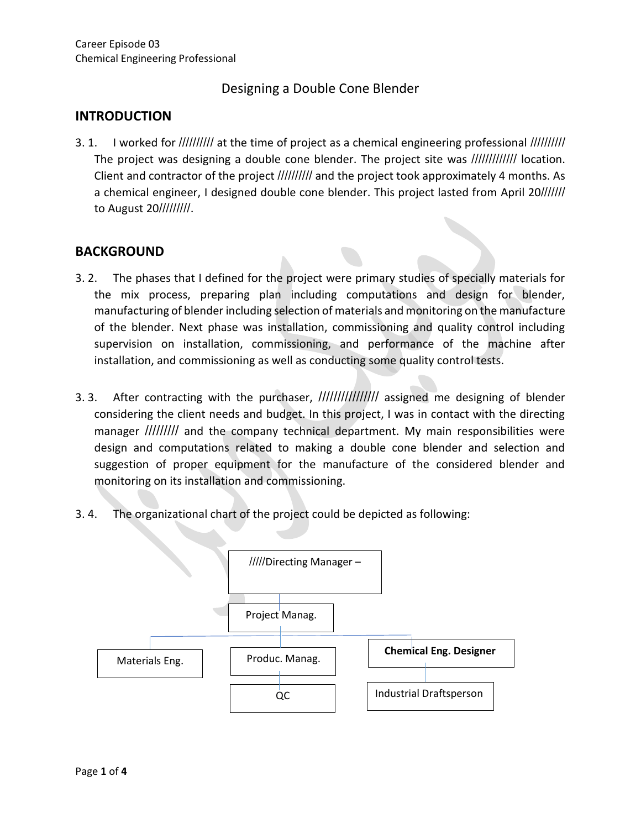## Designing a Double Cone Blender

### **INTRODUCTION**

3. 1. I worked for ////////// at the time of project as a chemical engineering professional ////////// The project was designing a double cone blender. The project site was ////////////// location. Client and contractor of the project ////////// and the project took approximately 4 months. As a chemical engineer, I designed double cone blender. This project lasted from April 20/////// to August 20/////////.

#### **BACKGROUND**

- 3. 2. The phases that I defined for the project were primary studies of specially materials for the mix process, preparing plan including computations and design for blender, manufacturing of blender including selection of materials and monitoring on the manufacture of the blender. Next phase was installation, commissioning and quality control including supervision on installation, commissioning, and performance of the machine after installation, and commissioning as well as conducting some quality control tests.
- 3. 3. After contracting with the purchaser, /////////////////// assigned me designing of blender considering the client needs and budget. In this project, I was in contact with the directing manager ///////// and the company technical department. My main responsibilities were design and computations related to making a double cone blender and selection and suggestion of proper equipment for the manufacture of the considered blender and monitoring on its installation and commissioning.
- 3. 4. The organizational chart of the project could be depicted as following:

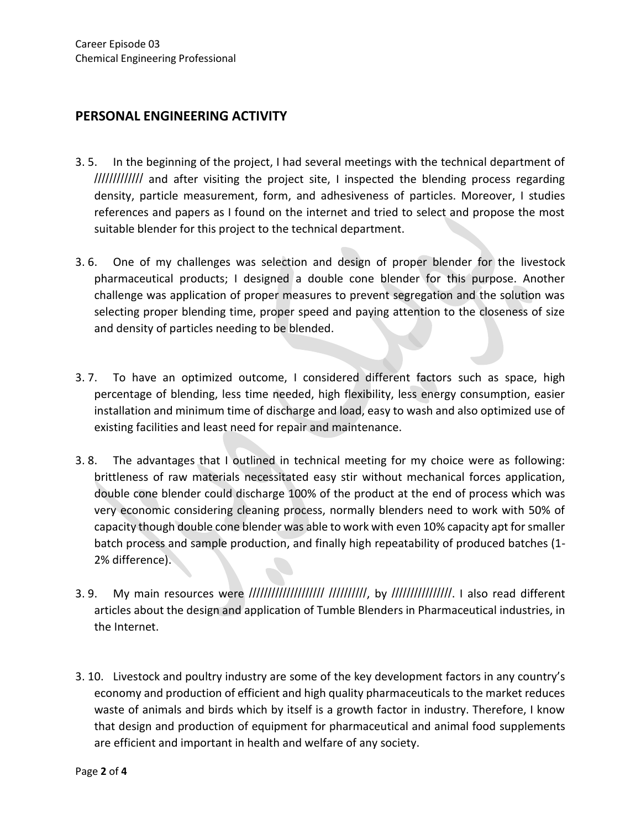### **PERSONAL ENGINEERING ACTIVITY**

- 3. 5. In the beginning of the project, I had several meetings with the technical department of ///////////// and after visiting the project site, I inspected the blending process regarding density, particle measurement, form, and adhesiveness of particles. Moreover, I studies references and papers as I found on the internet and tried to select and propose the most suitable blender for this project to the technical department.
- 3. 6. One of my challenges was selection and design of proper blender for the livestock pharmaceutical products; I designed a double cone blender for this purpose. Another challenge was application of proper measures to prevent segregation and the solution was selecting proper blending time, proper speed and paying attention to the closeness of size and density of particles needing to be blended.
- 3. 7. To have an optimized outcome, I considered different factors such as space, high percentage of blending, less time needed, high flexibility, less energy consumption, easier installation and minimum time of discharge and load, easy to wash and also optimized use of existing facilities and least need for repair and maintenance.
- 3. 8. The advantages that I outlined in technical meeting for my choice were as following: brittleness of raw materials necessitated easy stir without mechanical forces application, double cone blender could discharge 100% of the product at the end of process which was very economic considering cleaning process, normally blenders need to work with 50% of capacity though double cone blender was able to work with even 10% capacity apt for smaller batch process and sample production, and finally high repeatability of produced batches (1- 2% difference).
- 3. 9. My main resources were //////////////////// //////////, by ////////////////. I also read different articles about the design and application of Tumble Blenders in Pharmaceutical industries, in the Internet.
- 3. 10. Livestock and poultry industry are some of the key development factors in any country's economy and production of efficient and high quality pharmaceuticals to the market reduces waste of animals and birds which by itself is a growth factor in industry. Therefore, I know that design and production of equipment for pharmaceutical and animal food supplements are efficient and important in health and welfare of any society.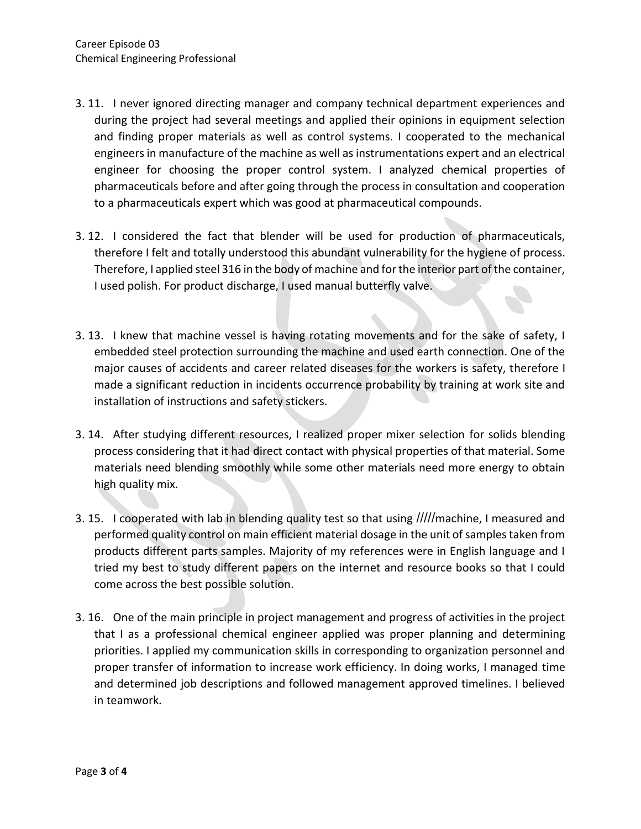- 3. 11. I never ignored directing manager and company technical department experiences and during the project had several meetings and applied their opinions in equipment selection and finding proper materials as well as control systems. I cooperated to the mechanical engineers in manufacture of the machine as well as instrumentations expert and an electrical engineer for choosing the proper control system. I analyzed chemical properties of pharmaceuticals before and after going through the process in consultation and cooperation to a pharmaceuticals expert which was good at pharmaceutical compounds.
- 3. 12. I considered the fact that blender will be used for production of pharmaceuticals, therefore I felt and totally understood this abundant vulnerability for the hygiene of process. Therefore, I applied steel 316 in the body of machine and for the interior part of the container, I used polish. For product discharge, I used manual butterfly valve.
- 3. 13. I knew that machine vessel is having rotating movements and for the sake of safety, I embedded steel protection surrounding the machine and used earth connection. One of the major causes of accidents and career related diseases for the workers is safety, therefore I made a significant reduction in incidents occurrence probability by training at work site and installation of instructions and safety stickers.
- 3. 14. After studying different resources, I realized proper mixer selection for solids blending process considering that it had direct contact with physical properties of that material. Some materials need blending smoothly while some other materials need more energy to obtain high quality mix.
- 3. 15. I cooperated with lab in blending quality test so that using /////machine, I measured and performed quality control on main efficient material dosage in the unit of samples taken from products different parts samples. Majority of my references were in English language and I tried my best to study different papers on the internet and resource books so that I could come across the best possible solution.
- 3. 16. One of the main principle in project management and progress of activities in the project that I as a professional chemical engineer applied was proper planning and determining priorities. I applied my communication skills in corresponding to organization personnel and proper transfer of information to increase work efficiency. In doing works, I managed time and determined job descriptions and followed management approved timelines. I believed in teamwork.